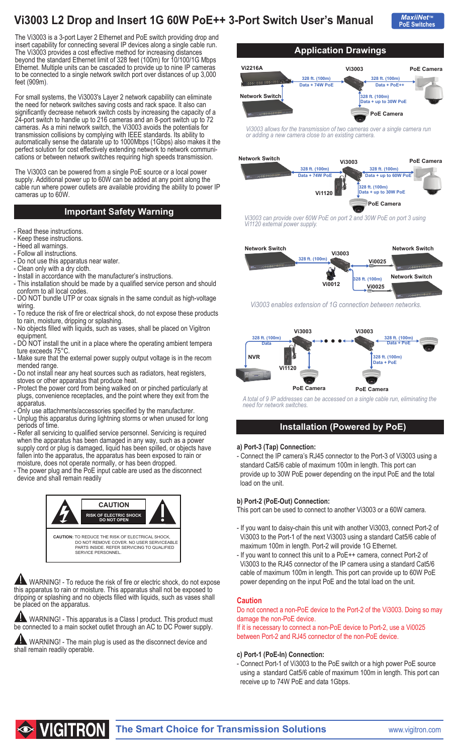# **Vi3003 L2 Drop and Insert 1G 60W PoE++ 3-Port Switch User's Manual**

**PoE Switches** *MaxiiNet***™**

The Vi3003 is a 3-port Layer 2 Ethernet and PoE switch providing drop and insert capability for connecting several IP devices along a single cable run. The Vi3003 provides a cost effective method for increasing distances beyond the standard Ethernet limit of 328 feet (100m) for 10/100/1G Mbps Ethernet. Multiple units can be cascaded to provide up to nine IP cameras to be connected to a single network switch port over distances of up 3,000 feet (909m).

For small systems, the Vi3003's Layer 2 network capability can eliminate the need for network switches saving costs and rack space. It also can significantly decrease network switch costs by increasing the capacity of a 24-port switch to handle up to 216 cameras and an 8-port switch up to 72 cameras. As a mini network switch, the Vi3003 avoids the potentials for transmission collisions by complying with IEEE standards. Its ability to automatically sense the datarate up to 1000Mbps (1Gbps) also makes it the perfect solution for cost effectively extending network to network communications or between network switches requiring high speeds transmission.

The Vi3003 can be powered from a single PoE source or a local power supply. Additional power up to 60W can be added at any point along the cable run where power outlets are available providing the ability to power IP cameras up to 60W.

### **Important Safety Warning**

- Read these instructions.
- Keep these instructions.
- Heed all warnings.
- Follow all instructions. - Do not use this apparatus near water.
- Clean only with a dry cloth.
- Install in accordance with the manufacturer's instructions.
- This installation should be made by a qualified service person and should conform to all local codes.
- DO NOT bundle UTP or coax signals in the same conduit as high-voltage wiring.
- To reduce the risk of fire or electrical shock, do not expose these products to rain, moisture, dripping or splashing.
- No objects filled with liquids, such as vases, shall be placed on Vigitron equipment.
- DO NOT install the unit in a place where the operating ambient tempera ture exceeds 75°C.
- Make sure that the external power supply output voltage is in the recom mended range.
- Do not install near any heat sources such as radiators, heat registers, stoves or other apparatus that produce heat.
- Protect the power cord from being walked on or pinched particularly at plugs, convenience receptacles, and the point where they exit from the apparatus.
- Only use attachments/accessories specified by the manufacturer.
- Unplug this apparatus during lightning storms or when unused for long periods of time.
- Refer all servicing to qualified service personnel. Servicing is required when the apparatus has been damaged in any way, such as a power supply cord or plug is damaged, liquid has been spilled, or objects have fallen into the apparatus, the apparatus has been exposed to rain or moisture, does not operate normally, or has been dropped.
- The power plug and the PoE input cable are used as the disconnect device and shall remain readily



WARNING! - To reduce the risk of fire or electric shock, do not expose this apparatus to rain or moisture. This apparatus shall not be exposed to dripping or splashing and no objects filled with liquids, such as vases shall be placed on the apparatus.

AN WARNING! - This apparatus is a Class I product. This product must be connected to a main socket outlet through an AC to DC Power supply.

**AN** WARNING! - The main plug is used as the disconnect device and shall remain readily operable.



*Vi3003 allows for the transmission of two cameras over a single camera run or adding a new camera close to an existing camera.* 



*Vi3003 can provide over 60W PoE on port 2 and 30W PoE on port 3 using Vi1120 external power supply.*



*Vi3003 enables extension of 1G connection between networks.* 



*A total of 9 IP addresses can be accessed on a single cable run, eliminating the need for network switches.*

### **Installation (Powered by PoE)**

#### **a) Port-3 (Tap) Connection:**

- Connect the IP camera's RJ45 connector to the Port-3 of Vi3003 using a standard Cat5/6 cable of maximum 100m in length. This port can provide up to 30W PoE power depending on the input PoE and the total load on the unit.

#### **b) Port-2 (PoE-Out) Connection:**

This port can be used to connect to another Vi3003 or a 60W camera.

- If you want to daisy-chain this unit with another Vi3003, connect Port-2 of Vi3003 to the Port-1 of the next Vi3003 using a standard Cat5/6 cable of maximum 100m in length. Port-2 will provide 1G Ethernet.
- If you want to connect this unit to a PoE++ camera, connect Port-2 of Vi3003 to the RJ45 connector of the IP camera using a standard Cat5/6 cable of maximum 100m in length. This port can provide up to 60W PoE power depending on the input PoE and the total load on the unit.

#### **Caution**

Do not connect a non-PoE device to the Port-2 of the Vi3003. Doing so may damage the non-PoE device.

If it is necessary to connect a non-PoE device to Port-2, use a Vi0025 between Port-2 and RJ45 connector of the non-PoE device.

#### **c) Port-1 (PoE-In) Connection:**

- Connect Port-1 of Vi3003 to the PoE switch or a high power PoE source using a standard Cat5/6 cable of maximum 100m in length. This port can receive up to 74W PoE and data 1Gbps.